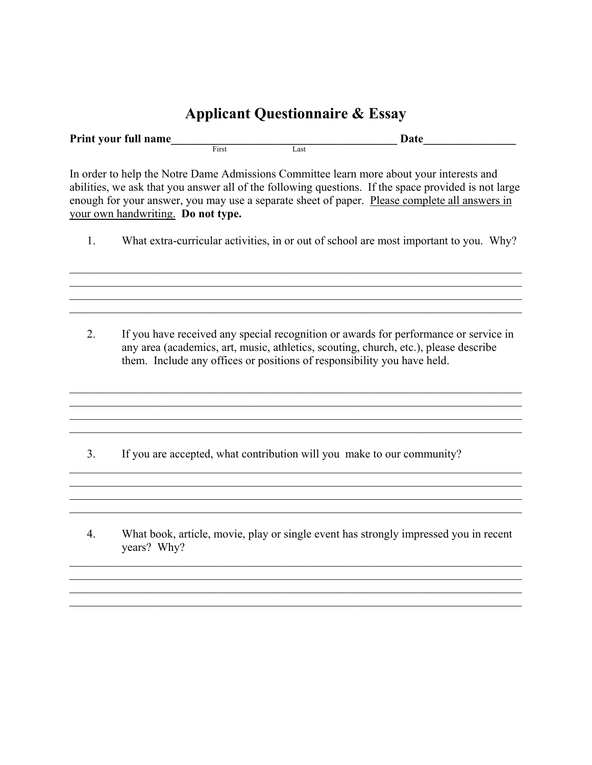## **Applicant Questionnaire & Essay**

| Print your full name |       | Date |  |  |
|----------------------|-------|------|--|--|
|                      | First | Last |  |  |

In order to help the Notre Dame Admissions Committee learn more about your interests and abilities, we ask that you answer all of the following questions. If the space provided is not large enough for your answer, you may use a separate sheet of paper. Please complete all answers in your own handwriting. **Do not type.** 

1. What extra-curricular activities, in or out of school are most important to you. Why?

 $\mathcal{L}_\mathcal{L} = \{ \mathcal{L}_\mathcal{L} = \{ \mathcal{L}_\mathcal{L} = \{ \mathcal{L}_\mathcal{L} = \{ \mathcal{L}_\mathcal{L} = \{ \mathcal{L}_\mathcal{L} = \{ \mathcal{L}_\mathcal{L} = \{ \mathcal{L}_\mathcal{L} = \{ \mathcal{L}_\mathcal{L} = \{ \mathcal{L}_\mathcal{L} = \{ \mathcal{L}_\mathcal{L} = \{ \mathcal{L}_\mathcal{L} = \{ \mathcal{L}_\mathcal{L} = \{ \mathcal{L}_\mathcal{L} = \{ \mathcal{L}_\mathcal{$  $\mathcal{L}_\mathcal{L} = \{ \mathcal{L}_\mathcal{L} = \{ \mathcal{L}_\mathcal{L} = \{ \mathcal{L}_\mathcal{L} = \{ \mathcal{L}_\mathcal{L} = \{ \mathcal{L}_\mathcal{L} = \{ \mathcal{L}_\mathcal{L} = \{ \mathcal{L}_\mathcal{L} = \{ \mathcal{L}_\mathcal{L} = \{ \mathcal{L}_\mathcal{L} = \{ \mathcal{L}_\mathcal{L} = \{ \mathcal{L}_\mathcal{L} = \{ \mathcal{L}_\mathcal{L} = \{ \mathcal{L}_\mathcal{L} = \{ \mathcal{L}_\mathcal{$  $\_$  ,  $\_$  ,  $\_$  ,  $\_$  ,  $\_$  ,  $\_$  ,  $\_$  ,  $\_$  ,  $\_$  ,  $\_$  ,  $\_$  ,  $\_$  ,  $\_$  ,  $\_$  ,  $\_$  ,  $\_$  ,  $\_$  ,  $\_$  ,  $\_$  ,  $\_$  ,  $\_$  ,  $\_$  ,  $\_$  ,  $\_$  ,  $\_$  ,  $\_$  ,  $\_$  ,  $\_$  ,  $\_$  ,  $\_$  ,  $\_$  ,  $\_$  ,  $\_$  ,  $\_$  ,  $\_$  ,  $\_$  ,  $\_$  ,

2. If you have received any special recognition or awards for performance or service in any area (academics, art, music, athletics, scouting, church, etc.), please describe them. Include any offices or positions of responsibility you have held.

 $\mathcal{L}_\mathcal{L} = \{ \mathcal{L}_\mathcal{L} = \{ \mathcal{L}_\mathcal{L} = \{ \mathcal{L}_\mathcal{L} = \{ \mathcal{L}_\mathcal{L} = \{ \mathcal{L}_\mathcal{L} = \{ \mathcal{L}_\mathcal{L} = \{ \mathcal{L}_\mathcal{L} = \{ \mathcal{L}_\mathcal{L} = \{ \mathcal{L}_\mathcal{L} = \{ \mathcal{L}_\mathcal{L} = \{ \mathcal{L}_\mathcal{L} = \{ \mathcal{L}_\mathcal{L} = \{ \mathcal{L}_\mathcal{L} = \{ \mathcal{L}_\mathcal{$  $\mathcal{L}_\text{max}$  , and the contribution of the contribution of the contribution of the contribution of the contribution of the contribution of the contribution of the contribution of the contribution of the contribution of t

 $\mathcal{L}_\mathcal{L} = \mathcal{L}_\mathcal{L} = \mathcal{L}_\mathcal{L} = \mathcal{L}_\mathcal{L} = \mathcal{L}_\mathcal{L} = \mathcal{L}_\mathcal{L} = \mathcal{L}_\mathcal{L} = \mathcal{L}_\mathcal{L} = \mathcal{L}_\mathcal{L} = \mathcal{L}_\mathcal{L} = \mathcal{L}_\mathcal{L} = \mathcal{L}_\mathcal{L} = \mathcal{L}_\mathcal{L} = \mathcal{L}_\mathcal{L} = \mathcal{L}_\mathcal{L} = \mathcal{L}_\mathcal{L} = \mathcal{L}_\mathcal{L}$ 

 $\_$  , and the contribution of the contribution of the contribution of the contribution of  $\mathcal{L}_\text{max}$ 

 $\mathcal{L}_\mathcal{L} = \{ \mathcal{L}_\mathcal{L} = \{ \mathcal{L}_\mathcal{L} = \{ \mathcal{L}_\mathcal{L} = \{ \mathcal{L}_\mathcal{L} = \{ \mathcal{L}_\mathcal{L} = \{ \mathcal{L}_\mathcal{L} = \{ \mathcal{L}_\mathcal{L} = \{ \mathcal{L}_\mathcal{L} = \{ \mathcal{L}_\mathcal{L} = \{ \mathcal{L}_\mathcal{L} = \{ \mathcal{L}_\mathcal{L} = \{ \mathcal{L}_\mathcal{L} = \{ \mathcal{L}_\mathcal{L} = \{ \mathcal{L}_\mathcal{$ 

 $\mathcal{L}_\text{max}$ 

3. If you are accepted, what contribution will you make to our community?

4. What book, article, movie, play or single event has strongly impressed you in recent years? Why?

 $\mathcal{L}_\mathcal{L} = \{ \mathcal{L}_\mathcal{L} = \{ \mathcal{L}_\mathcal{L} = \{ \mathcal{L}_\mathcal{L} = \{ \mathcal{L}_\mathcal{L} = \{ \mathcal{L}_\mathcal{L} = \{ \mathcal{L}_\mathcal{L} = \{ \mathcal{L}_\mathcal{L} = \{ \mathcal{L}_\mathcal{L} = \{ \mathcal{L}_\mathcal{L} = \{ \mathcal{L}_\mathcal{L} = \{ \mathcal{L}_\mathcal{L} = \{ \mathcal{L}_\mathcal{L} = \{ \mathcal{L}_\mathcal{L} = \{ \mathcal{L}_\mathcal{$ 

 $\_$  , and the contribution of the contribution of the contribution of the contribution of  $\mathcal{L}_\text{max}$ 

 $\_$  , and the contribution of the contribution of the contribution of the contribution of  $\mathcal{L}_\text{max}$